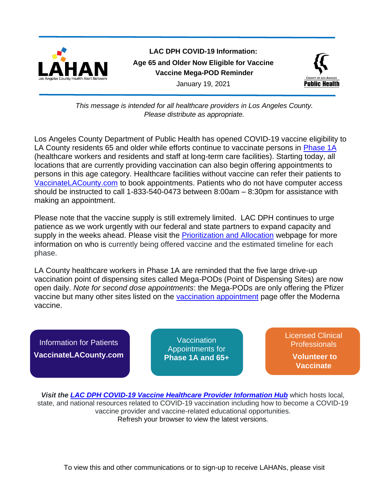

**LAC DPH COVID-19 Information: Age 65 and Older Now Eligible for Vaccine Vaccine Mega-POD Reminder** January 19, 2021



*This message is intended for all healthcare providers in Los Angeles County. Please distribute as appropriate.*

Los Angeles County Department of Public Health has opened COVID-19 vaccine eligibility to LA County residents 65 and older while efforts continue to vaccinate persons in [Phase 1A](http://publichealth.lacounty.gov/acd/ncorona2019/vaccine/Allocation/#tier1a) (healthcare workers and residents and staff at long-term care facilities). Starting today, all locations that are currently providing vaccination can also begin offering appointments to persons in this age category. Healthcare facilities without vaccine can refer their patients to [VaccinateLACounty.com](file://///hosted.lac.com/dph/hc/lahan/Actual%20HANs%20and%20drafts/Alerts%20sent%20by%20subject/COVID%20megapod/VaccinateLACounty.com) to book appointments. Patients who do not have computer access should be instructed to call 1-833-540-0473 between 8:00am – 8:30pm for assistance with making an appointment.

Please note that the vaccine supply is still extremely limited. LAC DPH continues to urge patience as we work urgently with our federal and state partners to expand capacity and supply in the weeks ahead. Please visit the [Prioritization and Allocation](http://publichealth.lacounty.gov/acd/ncorona2019/vaccine/Allocation/) webpage for more information on who is currently being offered vaccine and the estimated timeline for each phase.

LA County healthcare workers in Phase 1A are reminded that the five large drive-up vaccination point of dispensing sites called Mega-PODs (Point of Dispensing Sites) are now open daily. *Note for second dose appointments*: the Mega-PODs are only offering the Pfizer vaccine but many other sites listed on the [vaccination appointment](http://publichealth.lacounty.gov/acd/ncorona2019/vaccine/hcwsignup/) page offer the Moderna vaccine.

Information for Patients **[VaccinateLACounty.com](http://www.publichealth.lacounty.gov/media/Coronavirus/vaccine/index.htm)**

**Vaccination** Appointments for **[Phase 1A and 65+](http://publichealth.lacounty.gov/acd/ncorona2019/vaccine/hcwsignup/)** [Licensed Clinical](http://publichealth.lacounty.gov/acd/ncorona2019/vaccine/volunteertovaccinate/)  Professionals

> **Volunteer to Vaccinate**

*Visit the [LAC DPH COVID-19 Vaccine Healthcare Provider](http://publichealth.lacounty.gov/acd/ncorona2019/vaccine/) Information Hub* which hosts local, state, and national resources related to COVID-19 vaccination including how to become a COVID-19 vaccine provider and vaccine-related educational opportunities. Refresh your browser to view the latest versions.